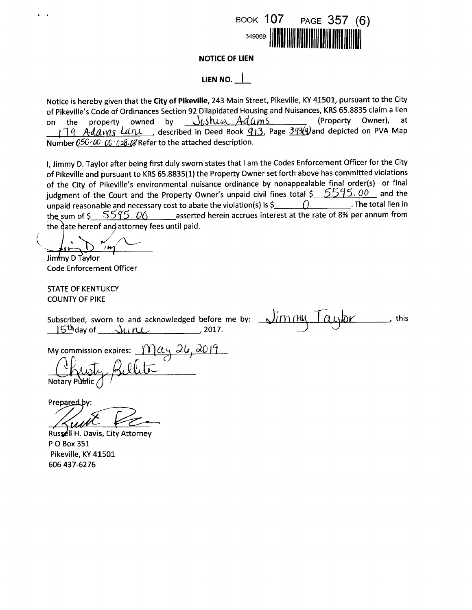

# **NOTICE OF LIEN**

# LIEN NO.  $\parallel$

Notice is hereby given that the City of Pikeville, 243 Main Street, Pikeville, KY 41501, pursuant to the City of Pikeville's Code of Ordinances Section 92 Dilapidated Housing and Nuisances, KRS 65.8835 claim a lien (Property Owner). on the property owned by  $J_{\ell}$  show  $Adams$ at  $179$  Adavns Lane, described in Deed Book  $913$ , Page  $393(4)$  and depicted on PVA Map Number  $0.60 - \alpha$   $0.60 - \alpha$   $0.28$ .  $\alpha$  Refer to the attached description.

I, Jimmy D. Taylor after being first duly sworn states that I am the Codes Enforcement Officer for the City of Pikeville and pursuant to KRS 65.8835(1) the Property Owner set forth above has committed violations of the City of Pikeville's environmental nuisance ordinance by nonappealable final order(s) or final judgment of the Court and the Property Owner's unpaid civil fines total  $\frac{5595.00}{ }$  and the unpaid reasonable and necessary cost to abate the violation(s) is  $\frac{1}{2}$  (1) . The total lien in the sum of  $\frac{5595.06}{ }$  asserted herein accrues interest at the rate of 8% per annum from the date hereof and attorney fees until paid.

 $\mu$ Jimmy D Taylor

**Code Enforcement Officer** 

**STATE OF KENTUKCY COUNTY OF PIKE** 

Subscribed, sworn to and acknowledged before me by:  $\sqrt{\frac{\text{m}}{\text{m}} \frac{\text{m}}{\text{m}}$ this  $15<sup>th</sup>$ day of  $\mu$   $\mu$ 

My commission expires: May 26, 2019

Prepared by:

Russell H. Davis, City Attorney P O Box 351 Pikeville, KY 41501 606 437-6276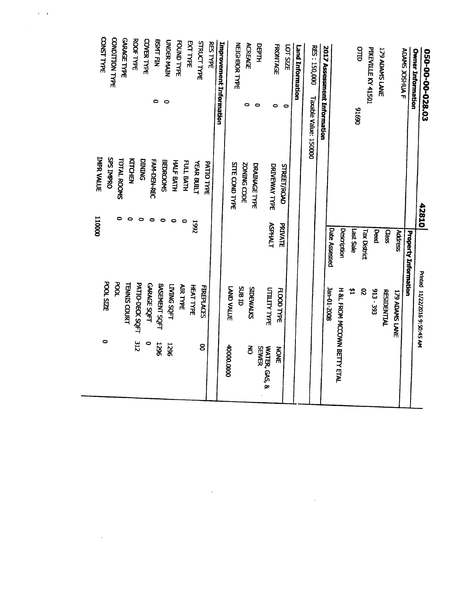| 050-00-00-028.03                                | 42810                                 |                      | Printed 11/22/2016 9:50:45 AM      |                   |
|-------------------------------------------------|---------------------------------------|----------------------|------------------------------------|-------------------|
| <b>Owner Information</b>                        |                                       | Property Information |                                    |                   |
| ADAMS JOSHUA F                                  |                                       | <b>Address</b>       | <b>I79 ADAMS LANE</b>              |                   |
|                                                 |                                       | Class                | <b>RESIDENTIAL</b>                 |                   |
| 179 ADAMS LANE                                  |                                       | Deed                 | 913 - 393                          |                   |
| PIKEVILLE KY 41501                              |                                       | <b>Tax District</b>  | S,                                 |                   |
| OTTD<br>06916                                   |                                       | Last Sale            | 쓥                                  |                   |
|                                                 |                                       | Description          | H &L FROM MCCOWN BETTY ETAL        |                   |
|                                                 |                                       | <b>Date Assessed</b> | 3an-01-2008                        |                   |
| <b>2017 Assessment Information</b>              |                                       |                      |                                    |                   |
| <b>RES: 150,000</b><br>Taxable Value: 150000    |                                       |                      |                                    |                   |
| <b>Land Information</b>                         |                                       |                      |                                    |                   |
| <b>FRONTAGE</b><br><b>LOT SIZE</b><br>$\bullet$ | <b>STREET/ROAD</b>                    | PRIVATE              | <b>FLOOD TYPE</b>                  | <b>NOWE</b>       |
| $\bullet$                                       | DRIVEWAY TYPE                         | <b>ASPHALT</b>       | <b>UTILITY TYPE</b>                | WATER, GAS, &     |
| DEPTH<br>$\bullet$                              | DRAINAGE TYPE                         |                      |                                    | <b>SEWER</b>      |
| <b>ACREAGE</b><br>۰                             | ZONING CODE                           |                      | SIDEWALKS                          | $\vec{6}$         |
| <b>NEIGHBOR TYPE</b>                            | <b>STTE COND TYPE</b>                 |                      | LAND VALUE<br><b>CIBID</b>         | <b>0000.0000P</b> |
| Improvement Information                         |                                       |                      |                                    |                   |
| <b>RES TYPE</b>                                 | PATIO TYPE                            |                      | <b>FIREPLACES</b>                  |                   |
| <b>STRUCT TYPE</b>                              | <b>YEAR BUILT</b>                     | 7661                 |                                    | 8                 |
| <b>EXT TYPE</b>                                 | FULL BATH<br>0                        |                      | <b>HEAT TYPE</b>                   |                   |
| FOUND TYPE                                      | HALF BATH<br>$\bullet$                |                      | <b>AIR TYPE</b>                    |                   |
| <b>UNDER MAIN</b><br>$\bullet$                  | <b>BEDROOMS</b><br>0                  |                      | <b>LAIMS SOLL</b>                  | 1296              |
| <b>BSMT FIN</b><br>0                            | FAM-DEN-REC<br>0                      |                      | BASEMENT SQFT                      | <b>1296</b>       |
| <b>COVER TYPE</b>                               | <b>DINING</b><br>$\bullet$            |                      | <b>GARAGE SOFT</b>                 | $\bullet$         |
| <b>ROOF TYPE</b>                                | KTCHEN                                |                      | PATIO-DECK SQFT                    | 312               |
| <b>GARAGE TYPE</b>                              | <b>TOTAL ROOMS</b>                    |                      | <b>POOL</b><br><b>TENNIS COURT</b> |                   |
| CONST TYPE<br>CONDITION TYPE                    | <b>IMPR VALUE</b><br><b>SPS IMPRO</b> | 000011               | <b>POOL SIZE</b>                   | 0                 |
|                                                 |                                       |                      |                                    |                   |

 $\mathcal{L}(\mathcal{L}(\mathcal{L}))$  . The contribution of the contribution of the contribution of  $\mathcal{L}(\mathcal{L})$ 

 $\mathcal{A}^{\mathcal{A}}$  ,  $\mathcal{A}^{\mathcal{A}}$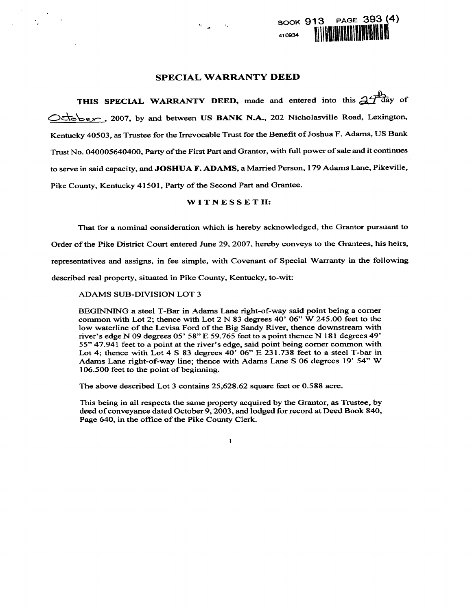## **SPECIAL WARRANTY DEED**

THIS SPECIAL WARRANTY DEED, made and entered into this  $\mathcal{A}^{\text{H}}$ day of October, 2007, by and between US BANK N.A., 202 Nicholasville Road, Lexington, Kentucky 40503, as Trustee for the Irrevocable Trust for the Benefit of Joshua F. Adams, US Bank Trust No. 040005640400, Party of the First Part and Grantor, with full power of sale and it continues to serve in said capacity, and JOSHUA F. ADAMS, a Married Person, 179 Adams Lane, Pikeville, Pike County, Kentucky 41501, Party of the Second Part and Grantee.

# WITNESSETH:

That for a nominal consideration which is hereby acknowledged, the Grantor pursuant to

Order of the Pike District Court entered June 29, 2007, hereby conveys to the Grantees, his heirs,

representatives and assigns, in fee simple, with Covenant of Special Warranty in the following

described real property, situated in Pike County, Kentucky, to-wit:

**ADAMS SUB-DIVISION LOT 3** 

BEGINNING a steel T-Bar in Adams Lane right-of-way said point being a corner common with Lot 2; thence with Lot 2 N 83 degrees 40' 06" W 245.00 feet to the low waterline of the Levisa Ford of the Big Sandy River, thence downstream with river's edge N 09 degrees 05' 58" E 59.765 feet to a point thence N 181 degrees 49' 55" 47.941 feet to a point at the river's edge, said point being corner common with Lot 4; thence with Lot 4 S 83 degrees  $40'$  06" E 231.738 feet to a steel T-bar in Adams Lane right-of-way line; thence with Adams Lane S 06 degrees 19' 54" W 106.500 feet to the point of beginning.

The above described Lot 3 contains 25,628.62 square feet or 0.588 acre.

This being in all respects the same property acquired by the Grantor, as Trustee, by deed of conveyance dated October 9, 2003, and lodged for record at Deed Book 840, Page 640, in the office of the Pike County Clerk.

 $\mathbf{I}$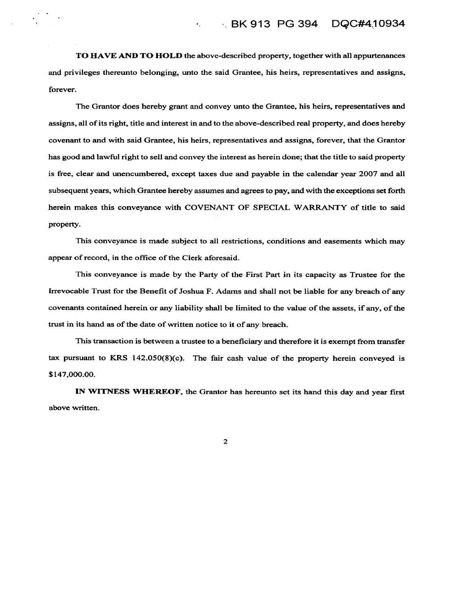TO HAVE AND TO HOLD the above-described property, together with all appurtenances and privileges thereunto belonging, unto the said Grantee, his heirs, representatives and assigns, forever.

 $\bullet_1$  .  $\bullet_2$ 

The Grantor does hereby grant and convey unto the Grantee, his heirs, representatives and assigns, all of its right, title and interest in and to the above-described real property, and does hereby covenant to and with said Grantee, his heirs, representatives and assigns, forever, that the Grantor has good and lawful right to sell and convey the interest as herein done; that the title to said property is free, clear and unencumbered, except taxes due and payable in the calendar year 2007 and all subsequent years, which Grantee hereby assumes and agrees to pay, and with the exceptions set forth herein makes this conveyance with COVENANT OF SPECIAL WARRANTY of title to said property.

This conveyance is made subject to all restrictions, conditions and easements which may appear of record, in the office of the Clerk aforesaid.

This conveyance is made by the Party of the First Part in its capacity as Trustee for the Irrevocable Trust for the Benefit of Joshua F. Adams and shall not be liable for any breach of any covenants contained herein or any liability shall be limited to the value of the assets, if any, of the trust in its hand as of the date of written notice to it of any breach.

This transaction is between a trustee to a beneficiary and therefore it is exempt from transfer tax pursuant to KRS  $142.050(8)(c)$ . The fair cash value of the property herein conveyed is \$147,000.00.

IN WITNESS WHEREOF, the Grantor has hereunto set its hand this day and year first above written.

 $\overline{2}$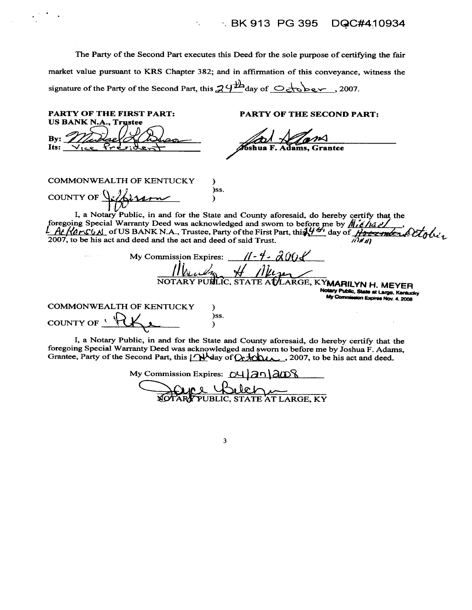#### BK 913 PG 395 DQC#410934

The Party of the Second Part executes this Deed for the sole purpose of certifying the fair market value pursuant to KRS Chapter 382; and in affirmation of this conveyance, witness the signature of the Party of the Second Part, this  $24^{\frac{11}{2}}$ day of  $\bigcirc$   $\bigcirc$   $\bigcirc$   $\bigcirc$   $\bigcirc$   $\bigcirc$  , 2007.

÷,

**PARTY OF THE FIRST PART: PARTY OF THE SECOND PART:** US BANK N.A., **Trustee** Bv: Its: **COMMONWEALTH OF KENTUCKY** <sup>)</sup> )ss. COUNTY OF  $\sqrt{ }$  $\lambda$ I, a Notary Public, in and for the State and County arrival, we have the state of the State and County arrival and sworn to before me by  $M\ell/\Delta T$ <br>L. At Kars CAL of US BANK N.A., Trustee, Party of the First Part, this  $\frac{$ I, a Notary Public, in and for the State and County aforesaid, do hereby certify that the  $11 - 4 - 2008$ My Commission Expires: NOTARY PUBLIC, STATE ATLARGE, KYMARILYN H. MEYER Notary Public, State at Large, Kentucky 2008 Mov. 4, 2008 **COMMONWEALTH OF KENTUCKY**  $\lambda$ )ss. COUNTY OF  $\frac{1}{\sqrt{2}}$ )

I, a Notary Public, in and for the State and County aforesaid, do hereby certify that the foregoing Special Warranty Deed was acknowledged and sworn to before me by Joshua F. Adams, Grantee, Party of the Second Part, this Meday of Ortochus, 2007, to be his act and deed.

My Commission Expires: 04 2n 2008 <u>Nel</u>

 $\overline{\mathbf{3}}$